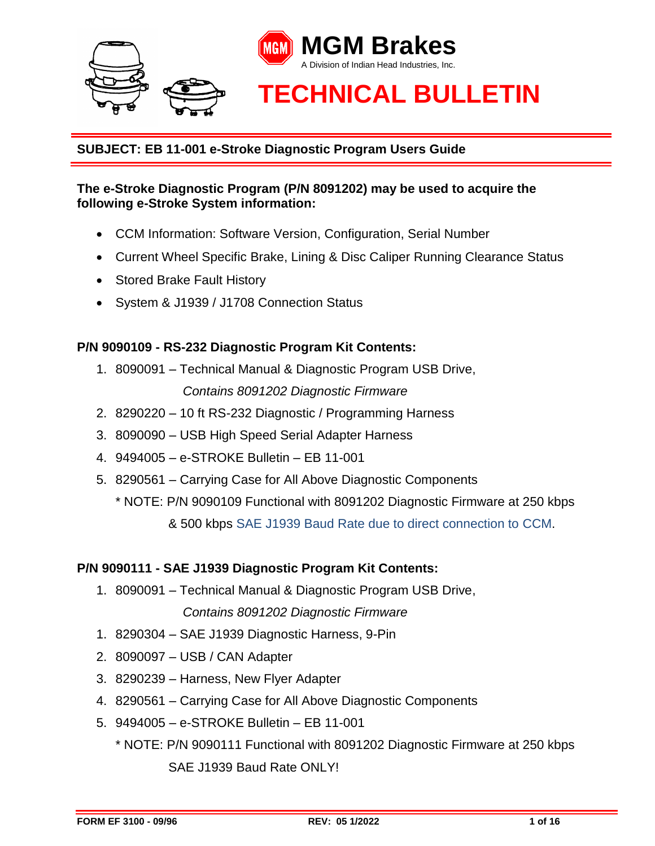

#### **The e-Stroke Diagnostic Program (P/N 8091202) may be used to acquire the following e-Stroke System information:**

- CCM Information: Software Version, Configuration, Serial Number
- Current Wheel Specific Brake, Lining & Disc Caliper Running Clearance Status
- Stored Brake Fault History
- System & J1939 / J1708 Connection Status

#### **P/N 9090109 - RS-232 Diagnostic Program Kit Contents:**

- 1. 8090091 Technical Manual & Diagnostic Program USB Drive, *Contains 8091202 Diagnostic Firmware*
- 2. 8290220 10 ft RS-232 Diagnostic / Programming Harness
- 3. 8090090 USB High Speed Serial Adapter Harness
- 4. 9494005 e-STROKE Bulletin EB 11-001
- 5. 8290561 Carrying Case for All Above Diagnostic Components
	- \* NOTE: P/N 9090109 Functional with 8091202 Diagnostic Firmware at 250 kbps & 500 kbps SAE J1939 Baud Rate due to direct connection to CCM.

#### **P/N 9090111 - SAE J1939 Diagnostic Program Kit Contents:**

- 1. 8090091 Technical Manual & Diagnostic Program USB Drive, *Contains 8091202 Diagnostic Firmware*
- 1. 8290304 SAE J1939 Diagnostic Harness, 9-Pin
- 2. 8090097 USB / CAN Adapter
- 3. 8290239 Harness, New Flyer Adapter
- 4. 8290561 Carrying Case for All Above Diagnostic Components
- 5. 9494005 e-STROKE Bulletin EB 11-001
	- \* NOTE: P/N 9090111 Functional with 8091202 Diagnostic Firmware at 250 kbps SAE J1939 Baud Rate ONLY!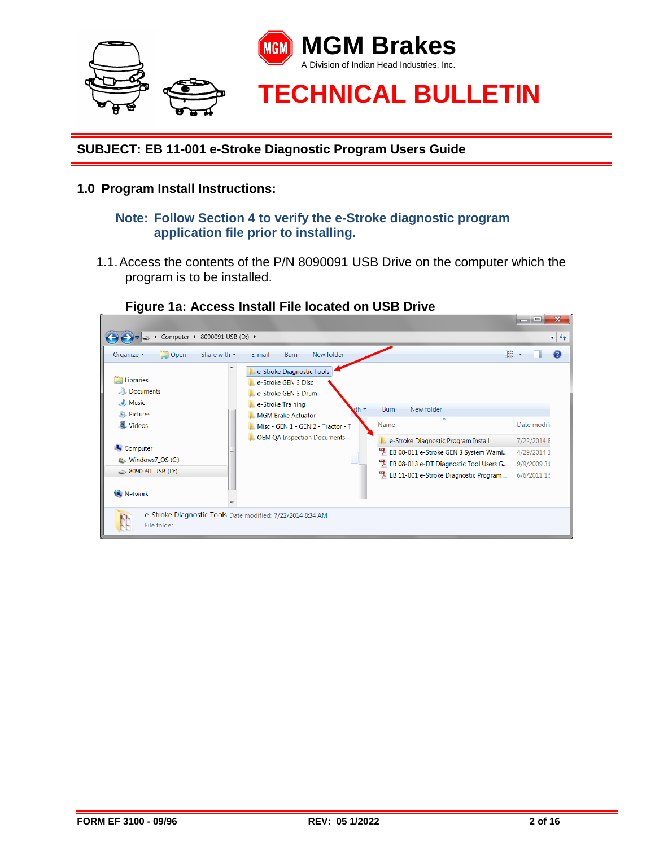

#### **1.0 Program Install Instructions:**

#### **Note: Follow Section 4 to verify the e-Stroke diagnostic program application file prior to installing.**

1.1.Access the contents of the P/N 8090091 USB Drive on the computer which the program is to be installed.



# **Figure 1a: Access Install File located on USB Drive**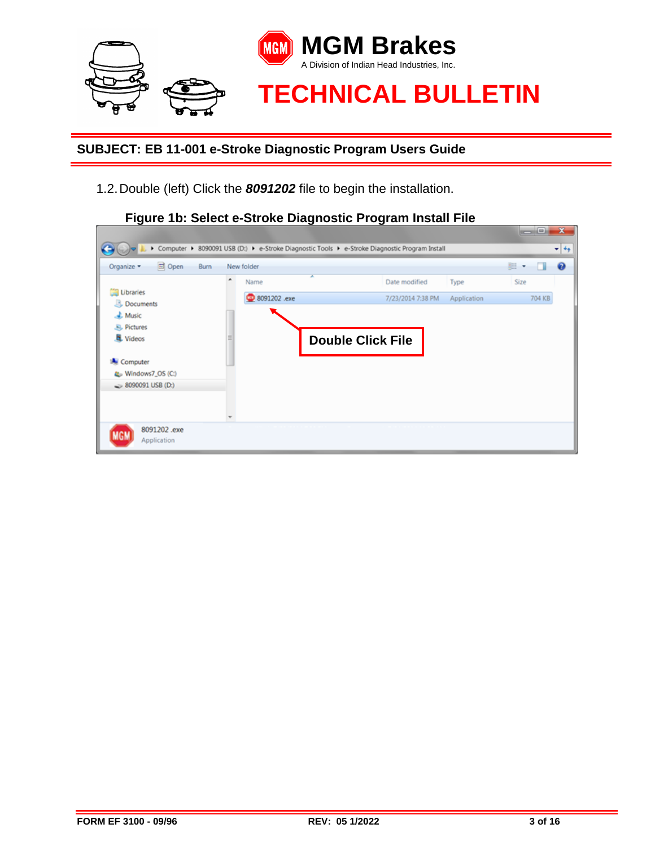

1.2.Double (left) Click the *8091202* file to begin the installation.



**Figure 1b: Select e-Stroke Diagnostic Program Install File**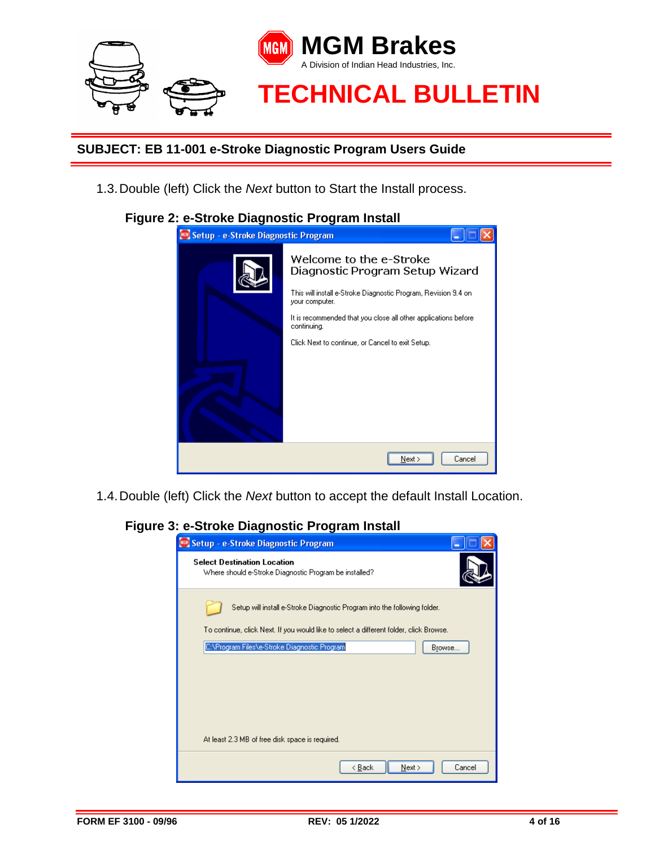

1.3.Double (left) Click the *Next* button to Start the Install process.

#### **Figure 2: e-Stroke Diagnostic Program Install**



1.4.Double (left) Click the *Next* button to accept the default Install Location.

#### **Figure 3: e-Stroke Diagnostic Program Install**

| Setup - e-Stroke Diagnostic Program                                                          |
|----------------------------------------------------------------------------------------------|
| <b>Select Destination Location</b><br>Where should e-Stroke Diagnostic Program be installed? |
| Setup will install e-Stroke Diagnostic Program into the following folder.                    |
| To continue, click Next. If you would like to select a different folder, click Browse.       |
| C:\Program Files\e-Stroke Diagnostic Program<br>Browse                                       |
| At least 2.3 MB of free disk space is required.                                              |
|                                                                                              |
| < Back<br>Next<br>Cancel                                                                     |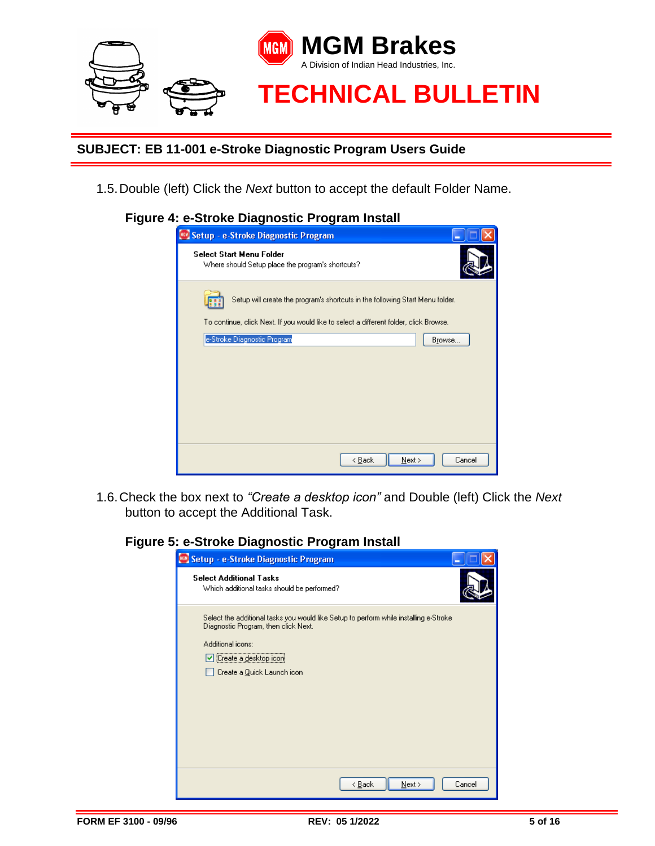

1.5.Double (left) Click the *Next* button to accept the default Folder Name.

# **Figure 4: e-Stroke Diagnostic Program Install**

| Setup - e-Stroke Diagnostic Program                                                    |
|----------------------------------------------------------------------------------------|
| <b>Select Start Menu Folder</b><br>Where should Setup place the program's shortcuts?   |
| Setup will create the program's shortcuts in the following Start Menu folder.          |
| To continue, click Next. If you would like to select a different folder, click Browse. |
| e-Stroke Diagnostic Program<br>Browse                                                  |
|                                                                                        |
|                                                                                        |
|                                                                                        |
|                                                                                        |
|                                                                                        |
|                                                                                        |
|                                                                                        |
| < <u>B</u> ack<br>Next ><br>Cancel                                                     |

1.6.Check the box next to *"Create a desktop icon"* and Double (left) Click the *Next* button to accept the Additional Task.

### **Figure 5: e-Stroke Diagnostic Program Install**

| Setup - e-Stroke Diagnostic Program                                                                                                                                                                         |
|-------------------------------------------------------------------------------------------------------------------------------------------------------------------------------------------------------------|
| <b>Select Additional Tasks</b><br>Which additional tasks should be performed?                                                                                                                               |
| Select the additional tasks you would like Setup to perform while installing e-Stroke<br>Diagnostic Program, then click Next.<br>Additional icons:<br>└ Create a desktop icon<br>Create a Quick Launch icon |
| Cancel<br>< <u>B</u> ack<br>Next >                                                                                                                                                                          |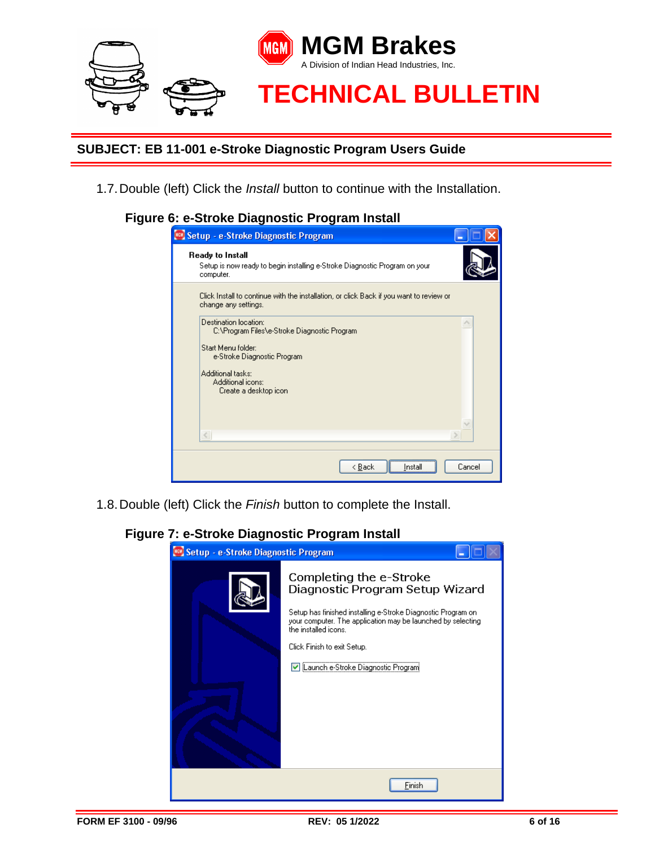

1.7.Double (left) Click the *Install* button to continue with the Installation.

# **Figure 6: e-Stroke Diagnostic Program Install**

| <b>EV Setup - e-Stroke Diagnostic Program</b>                                                                   |        |
|-----------------------------------------------------------------------------------------------------------------|--------|
| Ready to Install<br>Setup is now ready to begin installing e-Stroke Diagnostic Program on your<br>computer.     |        |
| Click Install to continue with the installation, or click Back if you want to review or<br>change any settings. |        |
| Destination Incation:<br>C:\Program Files\e-Stroke Diagnostic Program.                                          |        |
| Start Menu folder:<br>e-Stroke Diagnostic Program                                                               |        |
| Additional tasks:<br>Additional icons:<br>Create a desktop icon                                                 |        |
|                                                                                                                 |        |
|                                                                                                                 |        |
| < Back<br>Instal                                                                                                | Cancel |

1.8.Double (left) Click the *Finish* button to complete the Install.



#### **Figure 7: e-Stroke Diagnostic Program Install**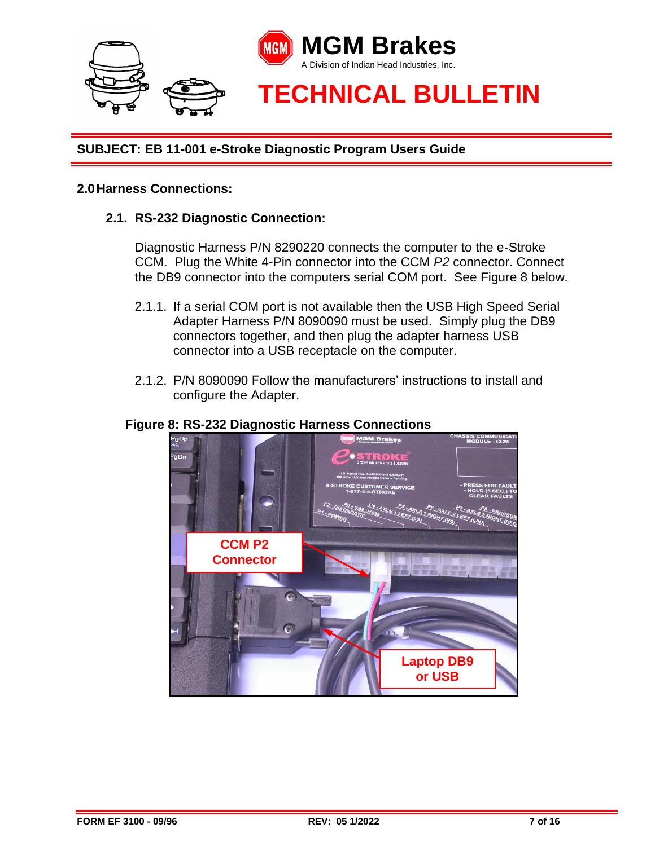

### **2.0Harness Connections:**

#### **2.1. RS-232 Diagnostic Connection:**

Diagnostic Harness P/N 8290220 connects the computer to the e-Stroke CCM. Plug the White 4-Pin connector into the CCM *P2* connector. Connect the DB9 connector into the computers serial COM port. See Figure 8 below.

- 2.1.1. If a serial COM port is not available then the USB High Speed Serial Adapter Harness P/N 8090090 must be used. Simply plug the DB9 connectors together, and then plug the adapter harness USB connector into a USB receptacle on the computer.
- 2.1.2. P/N 8090090 Follow the manufacturers' instructions to install and configure the Adapter.

#### **Figure 8: RS-232 Diagnostic Harness Connections**

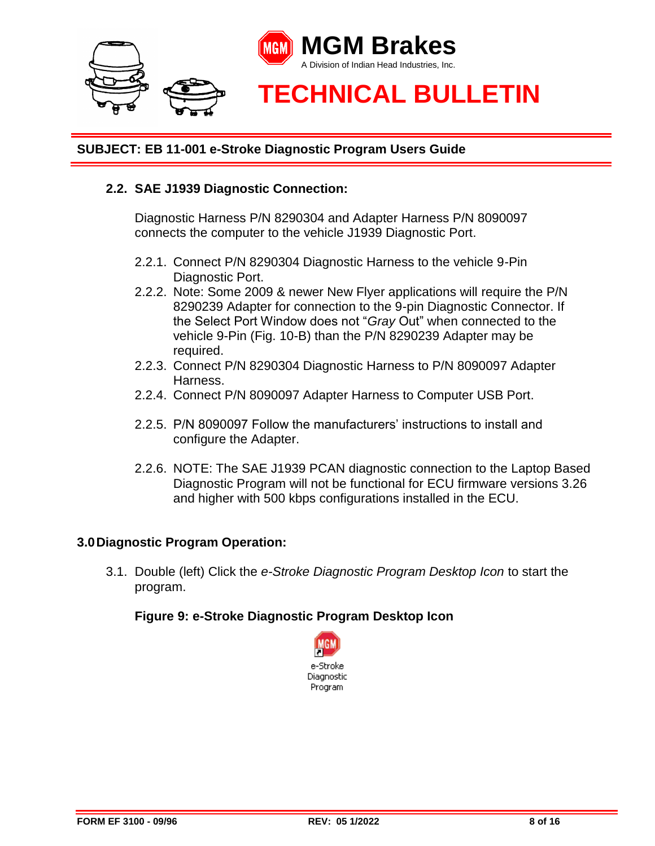

#### **2.2. SAE J1939 Diagnostic Connection:**

Diagnostic Harness P/N 8290304 and Adapter Harness P/N 8090097 connects the computer to the vehicle J1939 Diagnostic Port.

- 2.2.1. Connect P/N 8290304 Diagnostic Harness to the vehicle 9-Pin Diagnostic Port.
- 2.2.2. Note: Some 2009 & newer New Flyer applications will require the P/N 8290239 Adapter for connection to the 9-pin Diagnostic Connector. If the Select Port Window does not "*Gray* Out" when connected to the vehicle 9-Pin (Fig. 10-B) than the P/N 8290239 Adapter may be required.
- 2.2.3. Connect P/N 8290304 Diagnostic Harness to P/N 8090097 Adapter Harness.
- 2.2.4. Connect P/N 8090097 Adapter Harness to Computer USB Port.
- 2.2.5. P/N 8090097 Follow the manufacturers' instructions to install and configure the Adapter.
- 2.2.6. NOTE: The SAE J1939 PCAN diagnostic connection to the Laptop Based Diagnostic Program will not be functional for ECU firmware versions 3.26 and higher with 500 kbps configurations installed in the ECU.

#### **3.0Diagnostic Program Operation:**

3.1. Double (left) Click the *e-Stroke Diagnostic Program Desktop Icon* to start the program.

#### **Figure 9: e-Stroke Diagnostic Program Desktop Icon**

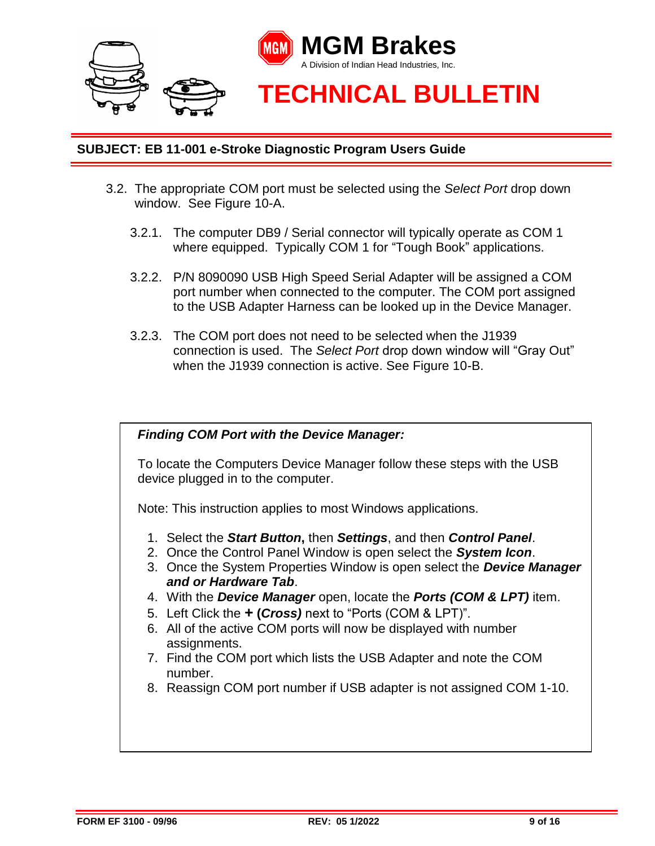

- 3.2. The appropriate COM port must be selected using the *Select Port* drop down window. See Figure 10-A.
	- 3.2.1. The computer DB9 / Serial connector will typically operate as COM 1 where equipped. Typically COM 1 for "Tough Book" applications.
	- 3.2.2. P/N 8090090 USB High Speed Serial Adapter will be assigned a COM port number when connected to the computer. The COM port assigned to the USB Adapter Harness can be looked up in the Device Manager.
	- 3.2.3. The COM port does not need to be selected when the J1939 connection is used. The *Select Port* drop down window will "Gray Out" when the J1939 connection is active. See Figure 10-B.

#### *Finding COM Port with the Device Manager:*

To locate the Computers Device Manager follow these steps with the USB device plugged in to the computer.

Note: This instruction applies to most Windows applications.

- 1. Select the *Start Button***,** then *Settings*, and then *Control Panel*.
- 2. Once the Control Panel Window is open select the *System Icon*.
- 3. Once the System Properties Window is open select the *Device Manager and or Hardware Tab*.
- 4. With the *Device Manager* open, locate the *Ports (COM & LPT)* item.
- 5. Left Click the **+ (***Cross)* next to "Ports (COM & LPT)".
- 6. All of the active COM ports will now be displayed with number assignments.
- 7. Find the COM port which lists the USB Adapter and note the COM number.
- 8. Reassign COM port number if USB adapter is not assigned COM 1-10.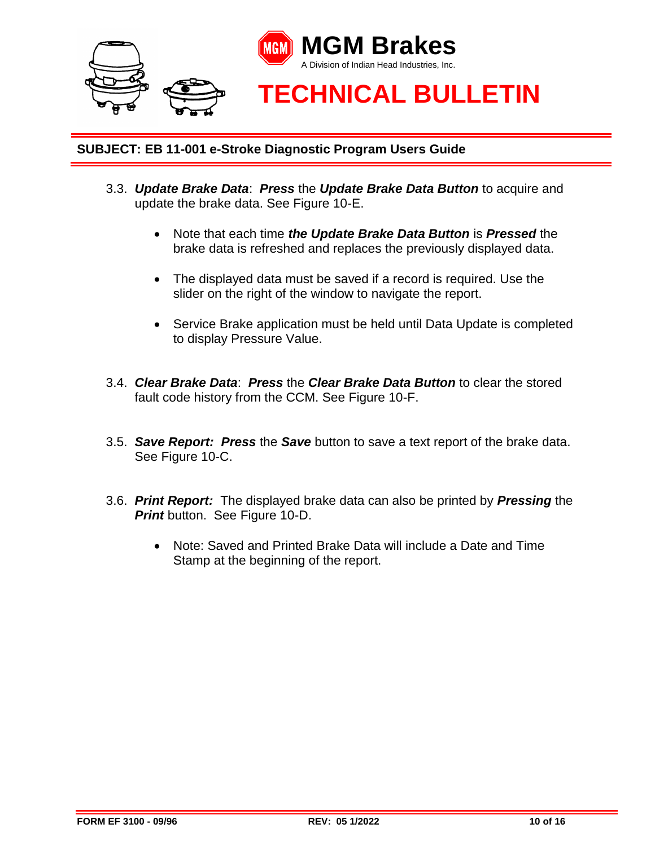

- 3.3. *Update Brake Data*: *Press* the *Update Brake Data Button* to acquire and update the brake data. See Figure 10-E.
	- Note that each time *the Update Brake Data Button* is *Pressed* the brake data is refreshed and replaces the previously displayed data.
	- The displayed data must be saved if a record is required. Use the slider on the right of the window to navigate the report.
	- Service Brake application must be held until Data Update is completed to display Pressure Value.
- 3.4. *Clear Brake Data*: *Press* the *Clear Brake Data Button* to clear the stored fault code history from the CCM. See Figure 10-F.
- 3.5. *Save Report: Press* the *Save* button to save a text report of the brake data. See Figure 10-C.
- 3.6. *Print Report:* The displayed brake data can also be printed by *Pressing* the *Print* button. See Figure 10-D.
	- Note: Saved and Printed Brake Data will include a Date and Time Stamp at the beginning of the report.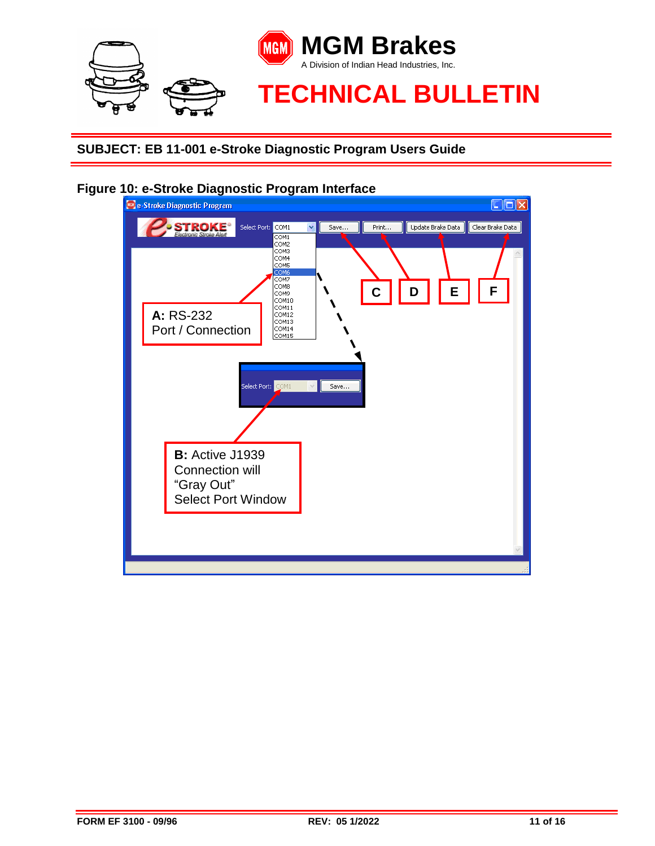



#### **Figure 10: e-Stroke Diagnostic Program Interface**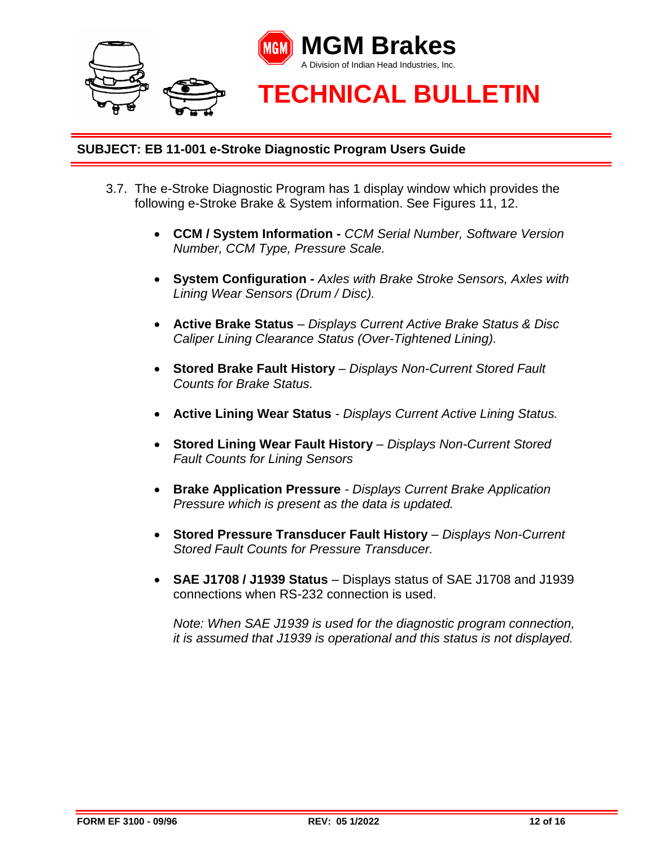

- 3.7. The e-Stroke Diagnostic Program has 1 display window which provides the following e-Stroke Brake & System information. See Figures 11, 12.
	- **CCM / System Information -** *CCM Serial Number, Software Version Number, CCM Type, Pressure Scale.*
	- **System Configuration -** *Axles with Brake Stroke Sensors, Axles with Lining Wear Sensors (Drum / Disc).*
	- **Active Brake Status** *– Displays Current Active Brake Status & Disc Caliper Lining Clearance Status (Over-Tightened Lining).*
	- **Stored Brake Fault History** *– Displays Non-Current Stored Fault Counts for Brake Status.*
	- **Active Lining Wear Status** *- Displays Current Active Lining Status.*
	- **Stored Lining Wear Fault History** *– Displays Non-Current Stored Fault Counts for Lining Sensors*
	- **Brake Application Pressure** *- Displays Current Brake Application Pressure which is present as the data is updated.*
	- **Stored Pressure Transducer Fault History** *– Displays Non-Current Stored Fault Counts for Pressure Transducer.*
	- SAE J1708 / J1939 Status Displays status of SAE J1708 and J1939 connections when RS-232 connection is used.

*Note: When SAE J1939 is used for the diagnostic program connection, it is assumed that J1939 is operational and this status is not displayed.*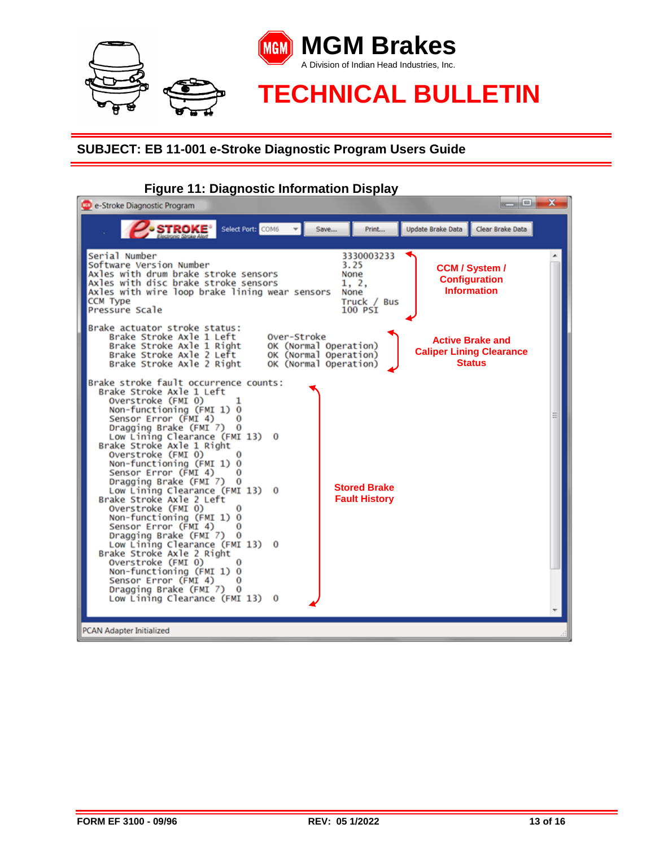

# **Figure 11: Diagnostic Information Display**

| Select Port: COM6 v<br><b>STROKE<sup>®</sup></b><br>Update Brake Data<br>Clear Brake Data<br>Save<br>Print<br>Serial Number<br>3330003233<br>Software Version Number<br>3.25<br><b>CCM / System /</b><br>Axles with drum brake stroke sensors<br>None<br><b>Configuration</b><br>Axles with disc brake stroke sensors<br>1, 2,<br><b>Information</b><br>Axles with wire loop brake lining wear sensors<br>None<br><b>CCM Type</b><br>Truck / Bus<br>Pressure Scale<br>100 PSI<br>Brake actuator stroke status:<br>Brake Stroke Axle 1 Left<br>Over-Stroke<br><b>Active Brake and</b><br>Brake Stroke Axle 1 Right<br>OK (Normal Operation)<br><b>Caliper Lining Clearance</b><br>Brake Stroke Axle 2 Left<br>OK (Normal Operation)<br><b>Status</b><br>Brake Stroke Axle 2 Right<br>OK (Normal Operation)<br>Brake stroke fault occurrence counts:<br>Brake Stroke Axle 1 Left<br>Overstroke (FMI 0)<br>ı<br>Non-functioning (FMI 1) 0<br>Sensor Error (FMI 4)<br>Dragging Brake (FMI 7)<br>$\bf{0}$<br>Low Lining Clearance (FMI 13)<br>$\Omega$<br>Brake Stroke Axle 1 Right<br>Overstroke (FMI 0)<br>Non-functioning (FMI 1) 0<br>Sensor Error (FMI 4)<br>o<br>Dragging Brake (FMI 7)<br>$\bf{0}$<br><b>Stored Brake</b><br>Low Lining Clearance (FMI 13)<br>0<br><b>Fault History</b><br>Brake Stroke Axle 2 Left<br>Overstroke (FMI 0)<br>0<br>Non-functioning (FMI 1) 0<br>Sensor Error (FMI 4)<br>0<br>Dragging Brake (FMI 7)<br>$\Omega$<br>Low Lining Clearance (FMI 13)<br>$\mathbf{o}$<br>Brake Stroke Axle 2 Right<br>Overstroke (FMI 0)<br>Non-functioning (FMI 1) 0<br>Sensor Error (FMI 4)<br>o<br>Dragging Brake (FMI 7)<br>$\bf{0}$<br>Low Lining Clearance (FMI 13)<br>$\bf{0}$<br><b>PCAN Adapter Initialized</b> | $\qquad \qquad \blacksquare$<br>CD e-Stroke Diagnostic Program | x |
|--------------------------------------------------------------------------------------------------------------------------------------------------------------------------------------------------------------------------------------------------------------------------------------------------------------------------------------------------------------------------------------------------------------------------------------------------------------------------------------------------------------------------------------------------------------------------------------------------------------------------------------------------------------------------------------------------------------------------------------------------------------------------------------------------------------------------------------------------------------------------------------------------------------------------------------------------------------------------------------------------------------------------------------------------------------------------------------------------------------------------------------------------------------------------------------------------------------------------------------------------------------------------------------------------------------------------------------------------------------------------------------------------------------------------------------------------------------------------------------------------------------------------------------------------------------------------------------------------------------------------------------------------------------------------------------------------------------------------------------|----------------------------------------------------------------|---|
|                                                                                                                                                                                                                                                                                                                                                                                                                                                                                                                                                                                                                                                                                                                                                                                                                                                                                                                                                                                                                                                                                                                                                                                                                                                                                                                                                                                                                                                                                                                                                                                                                                                                                                                                      |                                                                |   |
|                                                                                                                                                                                                                                                                                                                                                                                                                                                                                                                                                                                                                                                                                                                                                                                                                                                                                                                                                                                                                                                                                                                                                                                                                                                                                                                                                                                                                                                                                                                                                                                                                                                                                                                                      |                                                                |   |
|                                                                                                                                                                                                                                                                                                                                                                                                                                                                                                                                                                                                                                                                                                                                                                                                                                                                                                                                                                                                                                                                                                                                                                                                                                                                                                                                                                                                                                                                                                                                                                                                                                                                                                                                      |                                                                |   |
|                                                                                                                                                                                                                                                                                                                                                                                                                                                                                                                                                                                                                                                                                                                                                                                                                                                                                                                                                                                                                                                                                                                                                                                                                                                                                                                                                                                                                                                                                                                                                                                                                                                                                                                                      |                                                                |   |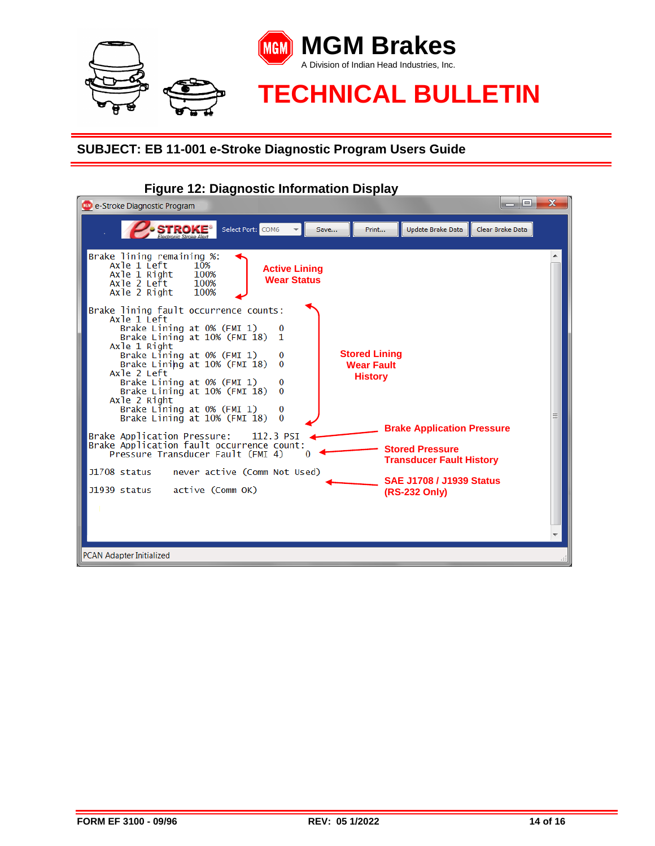

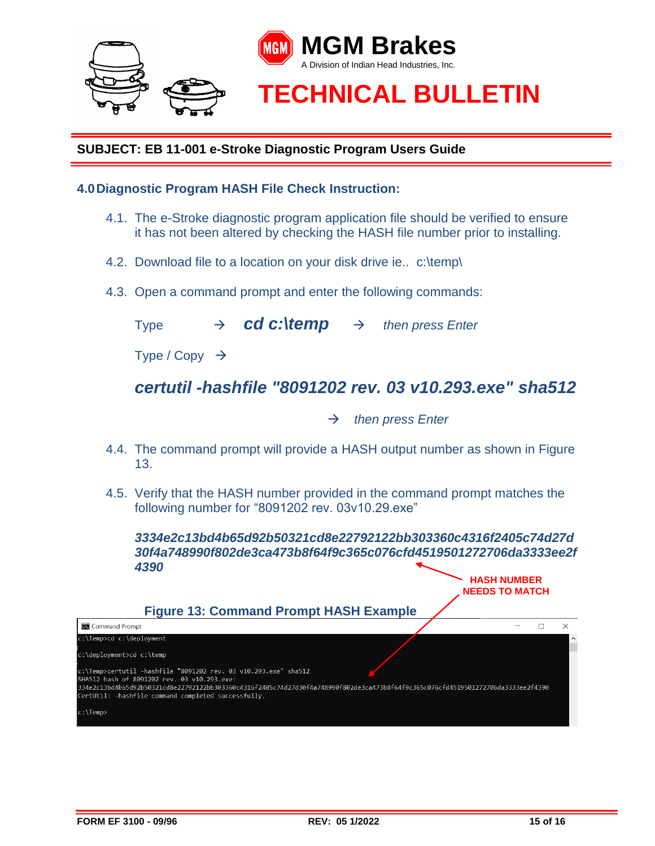

#### **4.0Diagnostic Program HASH File Check Instruction:**

- 4.1. The e-Stroke diagnostic program application file should be verified to ensure it has not been altered by checking the HASH file number prior to installing.
- 4.2. Download file to a location on your disk drive ie.. c:\temp\
- 4.3. Open a command prompt and enter the following commands:

Type  $\rightarrow$  *cd c:\temp*  $\rightarrow$  *then press Enter* 

Type / Copy  $\rightarrow$ 

# *certutil -hashfile "8091202 rev. 03 v10.293.exe" sha512*

→ *then press Enter* 

- 4.4. The command prompt will provide a HASH output number as shown in Figure 13.
- 4.5. Verify that the HASH number provided in the command prompt matches the following number for "8091202 rev. 03v10.29.exe"

*3334e2c13bd4b65d92b50321cd8e22792122bb303360c4316f2405c74d27d 30f4a748990f802de3ca473b8f64f9c365c076cfd4519501272706da3333ee2f 4390*



**HASH NUMBER**